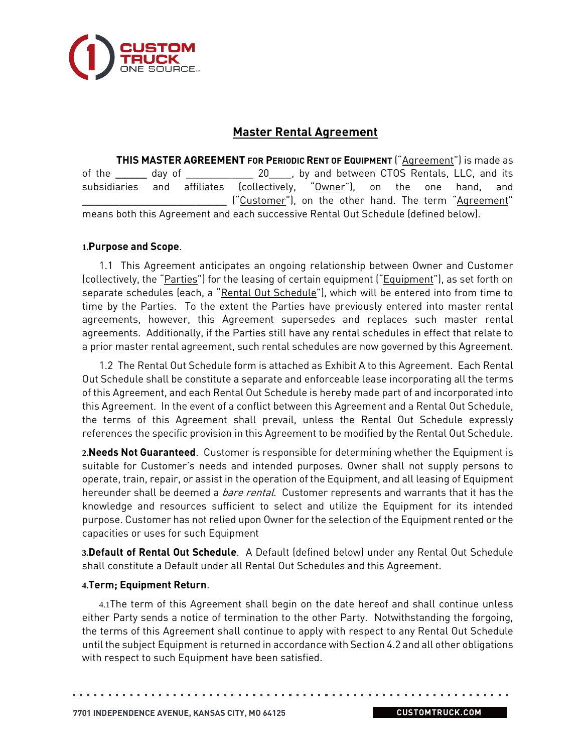

# **Master Rental Agreement**

**THIS MASTER AGREEMENT FOR PERIODIC RENT OF EQUIPMENT** ("Agreement") is made as of the **\_\_\_\_\_** day of \_\_\_\_\_\_\_\_\_\_\_\_ 20\_\_\_\_, by and between CTOS Rentals, LLC, and its subsidiaries and affiliates (collectively, "Owner"), on the one hand, and **\_\_\_\_\_\_\_\_\_\_\_\_\_\_\_\_\_\_\_\_\_\_\_** ("Customer"), on the other hand. The term "Agreement" means both this Agreement and each successive Rental Out Schedule (defined below).

### **1.Purpose and Scope**.

1.1 This Agreement anticipates an ongoing relationship between Owner and Customer (collectively, the "Parties") for the leasing of certain equipment ("Equipment"), as set forth on separate schedules (each, a "Rental Out Schedule"), which will be entered into from time to time by the Parties. To the extent the Parties have previously entered into master rental agreements, however, this Agreement supersedes and replaces such master rental agreements. Additionally, if the Parties still have any rental schedules in effect that relate to a prior master rental agreement, such rental schedules are now governed by this Agreement.

1.2 The Rental Out Schedule form is attached as Exhibit A to this Agreement. Each Rental Out Schedule shall be constitute a separate and enforceable lease incorporating all the terms of this Agreement, and each Rental Out Schedule is hereby made part of and incorporated into this Agreement. In the event of a conflict between this Agreement and a Rental Out Schedule, the terms of this Agreement shall prevail, unless the Rental Out Schedule expressly references the specific provision in this Agreement to be modified by the Rental Out Schedule.

**2.Needs Not Guaranteed**. Customer is responsible for determining whether the Equipment is suitable for Customer's needs and intended purposes. Owner shall not supply persons to operate, train, repair, or assist in the operation of the Equipment, and all leasing of Equipment hereunder shall be deemed a *bare rental*. Customer represents and warrants that it has the knowledge and resources sufficient to select and utilize the Equipment for its intended purpose. Customer has not relied upon Owner for the selection of the Equipment rented or the capacities or uses for such Equipment

**3.Default of Rental Out Schedule**. A Default (defined below) under any Rental Out Schedule shall constitute a Default under all Rental Out Schedules and this Agreement.

### **4.Term; Equipment Return**.

4.1The term of this Agreement shall begin on the date hereof and shall continue unless either Party sends a notice of termination to the other Party. Notwithstanding the forgoing, the terms of this Agreement shall continue to apply with respect to any Rental Out Schedule until the subject Equipment is returned in accordance with Section 4.2 and all other obligations with respect to such Equipment have been satisfied.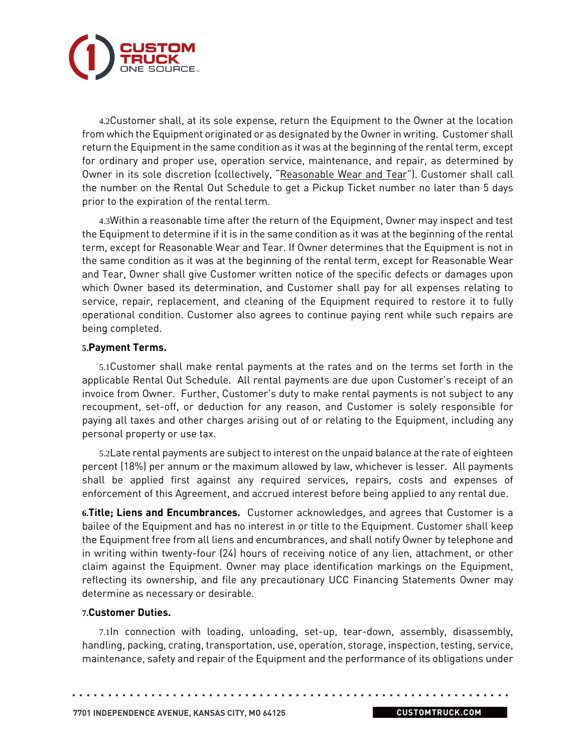

4.2Customer shall, at its sole expense, return the Equipment to the Owner at the location from which the Equipment originated or as designated by the Owner in writing. Customer shall return the Equipment in the same condition as it was at the beginning of the rental term, except for ordinary and proper use, operation service, maintenance, and repair, as determined by Owner in its sole discretion (collectively, "Reasonable Wear and Tear"). Customer shall call the number on the Rental Out Schedule to get a Pickup Ticket number no later than 5 days prior to the expiration of the rental term.

4.3Within a reasonable time after the return of the Equipment, Owner may inspect and test the Equipment to determine if it is in the same condition as it was at the beginning of the rental term, except for Reasonable Wear and Tear. If Owner determines that the Equipment is not in the same condition as it was at the beginning of the rental term, except for Reasonable Wear and Tear, Owner shall give Customer written notice of the specific defects or damages upon which Owner based its determination, and Customer shall pay for all expenses relating to service, repair, replacement, and cleaning of the Equipment required to restore it to fully operational condition. Customer also agrees to continue paying rent while such repairs are being completed.

#### **5.Payment Terms.**

5.1Customer shall make rental payments at the rates and on the terms set forth in the applicable Rental Out Schedule. All rental payments are due upon Customer's receipt of an invoice from Owner. Further, Customer's duty to make rental payments is not subject to any recoupment, set-off, or deduction for any reason, and Customer is solely responsible for paying all taxes and other charges arising out of or relating to the Equipment, including any personal property or use tax.

5.2Late rental payments are subject to interest on the unpaid balance at the rate of eighteen percent (18%) per annum or the maximum allowed by law, whichever is lesser. All payments shall be applied first against any required services, repairs, costs and expenses of enforcement of this Agreement, and accrued interest before being applied to any rental due.

**6.Title; Liens and Encumbrances.** Customer acknowledges, and agrees that Customer is a bailee of the Equipment and has no interest in or title to the Equipment. Customer shall keep the Equipment free from all liens and encumbrances, and shall notify Owner by telephone and in writing within twenty-four (24) hours of receiving notice of any lien, attachment, or other claim against the Equipment. Owner may place identification markings on the Equipment, reflecting its ownership, and file any precautionary UCC Financing Statements Owner may determine as necessary or desirable.

#### **7.Customer Duties.**

7.1In connection with loading, unloading, set-up, tear-down, assembly, disassembly, handling, packing, crating, transportation, use, operation, storage, inspection, testing, service, maintenance, safety and repair of the Equipment and the performance of its obligations under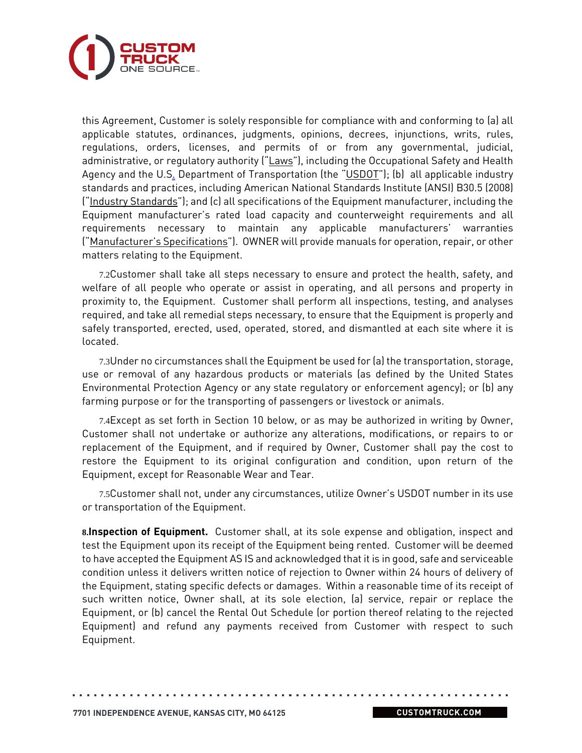

this Agreement, Customer is solely responsible for compliance with and conforming to (a) all applicable statutes, ordinances, judgments, opinions, decrees, injunctions, writs, rules, regulations, orders, licenses, and permits of or from any governmental, judicial, administrative, or regulatory authority ("Laws"), including the Occupational Safety and Health Agency and the U.S. Department of Transportation (the "USDOT"); (b) all applicable industry standards and practices, including American National Standards Institute (ANSI) B30.5 (2008) ("Industry Standards"); and (c) all specifications of the Equipment manufacturer, including the Equipment manufacturer's rated load capacity and counterweight requirements and all requirements necessary to maintain any applicable manufacturers' warranties ("Manufacturer's Specifications"). OWNER will provide manuals for operation, repair, or other matters relating to the Equipment.

7.2Customer shall take all steps necessary to ensure and protect the health, safety, and welfare of all people who operate or assist in operating, and all persons and property in proximity to, the Equipment. Customer shall perform all inspections, testing, and analyses required, and take all remedial steps necessary, to ensure that the Equipment is properly and safely transported, erected, used, operated, stored, and dismantled at each site where it is located.

7.3Under no circumstances shall the Equipment be used for (a) the transportation, storage, use or removal of any hazardous products or materials (as defined by the United States Environmental Protection Agency or any state regulatory or enforcement agency); or (b) any farming purpose or for the transporting of passengers or livestock or animals.

7.4Except as set forth in Section 10 below, or as may be authorized in writing by Owner, Customer shall not undertake or authorize any alterations, modifications, or repairs to or replacement of the Equipment, and if required by Owner, Customer shall pay the cost to restore the Equipment to its original configuration and condition, upon return of the Equipment, except for Reasonable Wear and Tear.

7.5Customer shall not, under any circumstances, utilize Owner's USDOT number in its use or transportation of the Equipment.

**8.Inspection of Equipment.** Customer shall, at its sole expense and obligation, inspect and test the Equipment upon its receipt of the Equipment being rented. Customer will be deemed to have accepted the Equipment AS IS and acknowledged that it is in good, safe and serviceable condition unless it delivers written notice of rejection to Owner within 24 hours of delivery of the Equipment, stating specific defects or damages. Within a reasonable time of its receipt of such written notice, Owner shall, at its sole election, (a) service, repair or replace the Equipment, or (b) cancel the Rental Out Schedule (or portion thereof relating to the rejected Equipment) and refund any payments received from Customer with respect to such Equipment.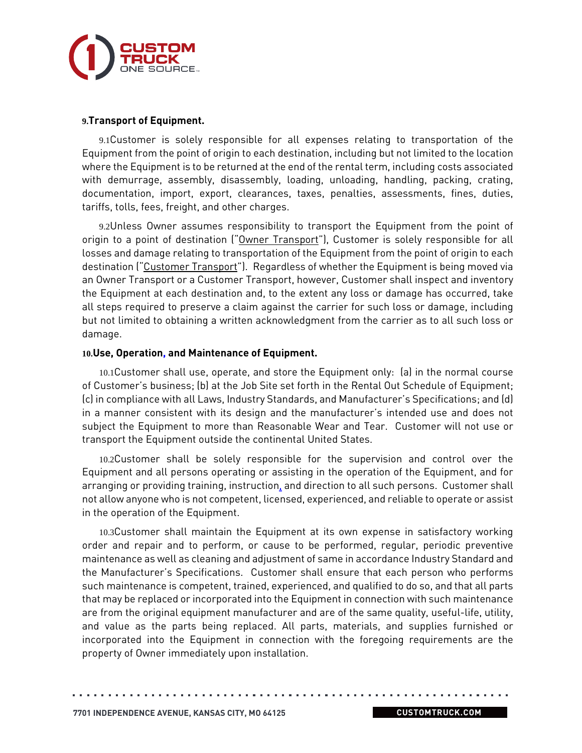

#### **9.Transport of Equipment.**

9.1Customer is solely responsible for all expenses relating to transportation of the Equipment from the point of origin to each destination, including but not limited to the location where the Equipment is to be returned at the end of the rental term, including costs associated with demurrage, assembly, disassembly, loading, unloading, handling, packing, crating, documentation, import, export, clearances, taxes, penalties, assessments, fines, duties, tariffs, tolls, fees, freight, and other charges.

9.2Unless Owner assumes responsibility to transport the Equipment from the point of origin to a point of destination ("Owner Transport"), Customer is solely responsible for all losses and damage relating to transportation of the Equipment from the point of origin to each destination ("Customer Transport"). Regardless of whether the Equipment is being moved via an Owner Transport or a Customer Transport, however, Customer shall inspect and inventory the Equipment at each destination and, to the extent any loss or damage has occurred, take all steps required to preserve a claim against the carrier for such loss or damage, including but not limited to obtaining a written acknowledgment from the carrier as to all such loss or damage.

#### **10.Use, Operation, and Maintenance of Equipment.**

10.1Customer shall use, operate, and store the Equipment only: (a) in the normal course of Customer's business; (b) at the Job Site set forth in the Rental Out Schedule of Equipment; (c) in compliance with all Laws, Industry Standards, and Manufacturer's Specifications; and (d) in a manner consistent with its design and the manufacturer's intended use and does not subject the Equipment to more than Reasonable Wear and Tear. Customer will not use or transport the Equipment outside the continental United States.

10.2Customer shall be solely responsible for the supervision and control over the Equipment and all persons operating or assisting in the operation of the Equipment, and for arranging or providing training, instruction, and direction to all such persons. Customer shall not allow anyone who is not competent, licensed, experienced, and reliable to operate or assist in the operation of the Equipment.

10.3Customer shall maintain the Equipment at its own expense in satisfactory working order and repair and to perform, or cause to be performed, regular, periodic preventive maintenance as well as cleaning and adjustment of same in accordance Industry Standard and the Manufacturer's Specifications. Customer shall ensure that each person who performs such maintenance is competent, trained, experienced, and qualified to do so, and that all parts that may be replaced or incorporated into the Equipment in connection with such maintenance are from the original equipment manufacturer and are of the same quality, useful-life, utility, and value as the parts being replaced. All parts, materials, and supplies furnished or incorporated into the Equipment in connection with the foregoing requirements are the property of Owner immediately upon installation.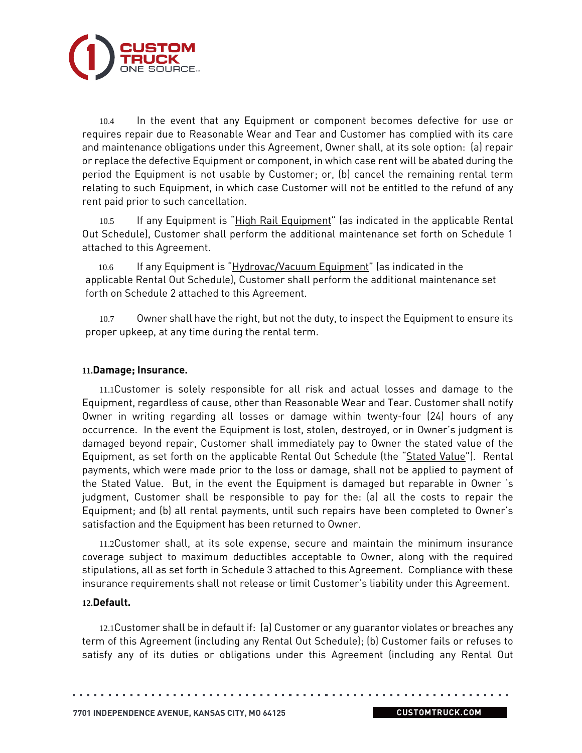

10.4 In the event that any Equipment or component becomes defective for use or requires repair due to Reasonable Wear and Tear and Customer has complied with its care and maintenance obligations under this Agreement, Owner shall, at its sole option: (a) repair or replace the defective Equipment or component, in which case rent will be abated during the period the Equipment is not usable by Customer; or, (b) cancel the remaining rental term relating to such Equipment, in which case Customer will not be entitled to the refund of any rent paid prior to such cancellation.

10.5 If any Equipment is "High Rail Equipment" (as indicated in the applicable Rental Out Schedule), Customer shall perform the additional maintenance set forth on Schedule 1 attached to this Agreement.

10.6 If any Equipment is "Hydrovac/Vacuum Equipment" (as indicated in the applicable Rental Out Schedule), Customer shall perform the additional maintenance set forth on Schedule 2 attached to this Agreement.

10.7 Owner shall have the right, but not the duty, to inspect the Equipment to ensure its proper upkeep, at any time during the rental term.

#### **11.Damage; Insurance.**

11.1Customer is solely responsible for all risk and actual losses and damage to the Equipment, regardless of cause, other than Reasonable Wear and Tear. Customer shall notify Owner in writing regarding all losses or damage within twenty-four (24) hours of any occurrence. In the event the Equipment is lost, stolen, destroyed, or in Owner's judgment is damaged beyond repair, Customer shall immediately pay to Owner the stated value of the Equipment, as set forth on the applicable Rental Out Schedule (the "Stated Value"). Rental payments, which were made prior to the loss or damage, shall not be applied to payment of the Stated Value. But, in the event the Equipment is damaged but reparable in Owner 's judgment, Customer shall be responsible to pay for the: (a) all the costs to repair the Equipment; and (b) all rental payments, until such repairs have been completed to Owner's satisfaction and the Equipment has been returned to Owner.

11.2Customer shall, at its sole expense, secure and maintain the minimum insurance coverage subject to maximum deductibles acceptable to Owner, along with the required stipulations, all as set forth in Schedule 3 attached to this Agreement. Compliance with these insurance requirements shall not release or limit Customer's liability under this Agreement.

#### **12.Default.**

12.1Customer shall be in default if: (a) Customer or any guarantor violates or breaches any term of this Agreement (including any Rental Out Schedule); (b) Customer fails or refuses to satisfy any of its duties or obligations under this Agreement (including any Rental Out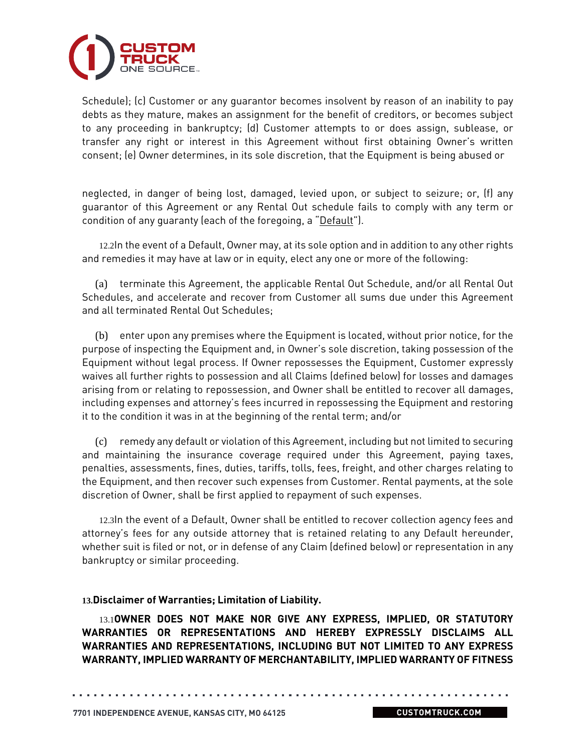

Schedule); (c) Customer or any guarantor becomes insolvent by reason of an inability to pay debts as they mature, makes an assignment for the benefit of creditors, or becomes subject to any proceeding in bankruptcy; (d) Customer attempts to or does assign, sublease, or transfer any right or interest in this Agreement without first obtaining Owner's written consent; (e) Owner determines, in its sole discretion, that the Equipment is being abused or

neglected, in danger of being lost, damaged, levied upon, or subject to seizure; or, (f) any guarantor of this Agreement or any Rental Out schedule fails to comply with any term or condition of any guaranty (each of the foregoing, a "Default").

12.2In the event of a Default, Owner may, at its sole option and in addition to any other rights and remedies it may have at law or in equity, elect any one or more of the following:

(a) terminate this Agreement, the applicable Rental Out Schedule, and/or all Rental Out Schedules, and accelerate and recover from Customer all sums due under this Agreement and all terminated Rental Out Schedules;

(b) enter upon any premises where the Equipment is located, without prior notice, for the purpose of inspecting the Equipment and, in Owner's sole discretion, taking possession of the Equipment without legal process. If Owner repossesses the Equipment, Customer expressly waives all further rights to possession and all Claims (defined below) for losses and damages arising from or relating to repossession, and Owner shall be entitled to recover all damages, including expenses and attorney's fees incurred in repossessing the Equipment and restoring it to the condition it was in at the beginning of the rental term; and/or

(c) remedy any default or violation of this Agreement, including but not limited to securing and maintaining the insurance coverage required under this Agreement, paying taxes, penalties, assessments, fines, duties, tariffs, tolls, fees, freight, and other charges relating to the Equipment, and then recover such expenses from Customer. Rental payments, at the sole discretion of Owner, shall be first applied to repayment of such expenses.

12.3In the event of a Default, Owner shall be entitled to recover collection agency fees and attorney's fees for any outside attorney that is retained relating to any Default hereunder, whether suit is filed or not, or in defense of any Claim (defined below) or representation in any bankruptcy or similar proceeding.

#### **13.Disclaimer of Warranties; Limitation of Liability.**

13.1**OWNER DOES NOT MAKE NOR GIVE ANY EXPRESS, IMPLIED, OR STATUTORY WARRANTIES OR REPRESENTATIONS AND HEREBY EXPRESSLY DISCLAIMS ALL WARRANTIES AND REPRESENTATIONS, INCLUDING BUT NOT LIMITED TO ANY EXPRESS WARRANTY, IMPLIED WARRANTY OF MERCHANTABILITY, IMPLIED WARRANTY OF FITNESS**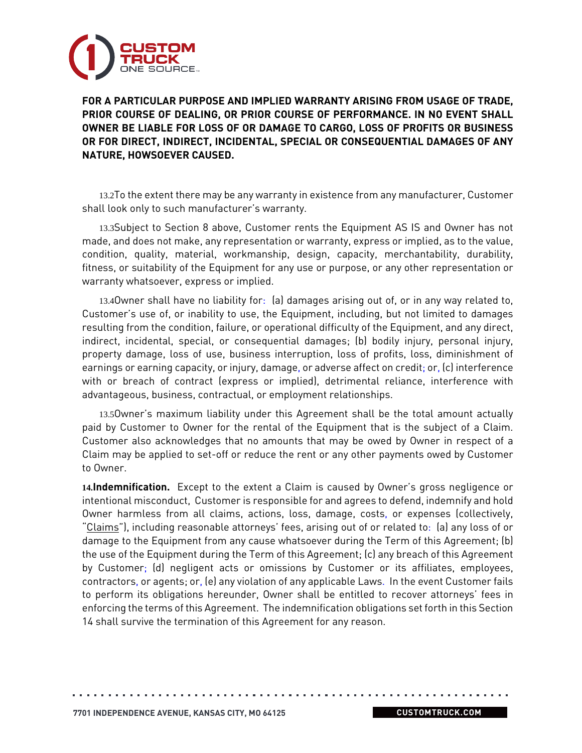

**FOR A PARTICULAR PURPOSE AND IMPLIED WARRANTY ARISING FROM USAGE OF TRADE, PRIOR COURSE OF DEALING, OR PRIOR COURSE OF PERFORMANCE. IN NO EVENT SHALL OWNER BE LIABLE FOR LOSS OF OR DAMAGE TO CARGO, LOSS OF PROFITS OR BUSINESS OR FOR DIRECT, INDIRECT, INCIDENTAL, SPECIAL OR CONSEQUENTIAL DAMAGES OF ANY NATURE, HOWSOEVER CAUSED.**

13.2To the extent there may be any warranty in existence from any manufacturer, Customer shall look only to such manufacturer's warranty.

13.3Subject to Section 8 above, Customer rents the Equipment AS IS and Owner has not made, and does not make, any representation or warranty, express or implied, as to the value, condition, quality, material, workmanship, design, capacity, merchantability, durability, fitness, or suitability of the Equipment for any use or purpose, or any other representation or warranty whatsoever, express or implied.

13.4Owner shall have no liability for: (a) damages arising out of, or in any way related to, Customer's use of, or inability to use, the Equipment, including, but not limited to damages resulting from the condition, failure, or operational difficulty of the Equipment, and any direct, indirect, incidental, special, or consequential damages; (b) bodily injury, personal injury, property damage, loss of use, business interruption, loss of profits, loss, diminishment of earnings or earning capacity, or injury, damage, or adverse affect on credit; or, (c) interference with or breach of contract (express or implied), detrimental reliance, interference with advantageous, business, contractual, or employment relationships.

13.5Owner's maximum liability under this Agreement shall be the total amount actually paid by Customer to Owner for the rental of the Equipment that is the subject of a Claim. Customer also acknowledges that no amounts that may be owed by Owner in respect of a Claim may be applied to set-off or reduce the rent or any other payments owed by Customer to Owner.

**14.Indemnification.** Except to the extent a Claim is caused by Owner's gross negligence or intentional misconduct, Customer is responsible for and agrees to defend, indemnify and hold Owner harmless from all claims, actions, loss, damage, costs, or expenses (collectively, "Claims"), including reasonable attorneys' fees, arising out of or related to: (a) any loss of or damage to the Equipment from any cause whatsoever during the Term of this Agreement; (b) the use of the Equipment during the Term of this Agreement; (c) any breach of this Agreement by Customer; (d) negligent acts or omissions by Customer or its affiliates, employees, contractors, or agents; or, (e) any violation of any applicable Laws. In the event Customer fails to perform its obligations hereunder, Owner shall be entitled to recover attorneys' fees in enforcing the terms of this Agreement. The indemnification obligations set forth in this Section 14 shall survive the termination of this Agreement for any reason.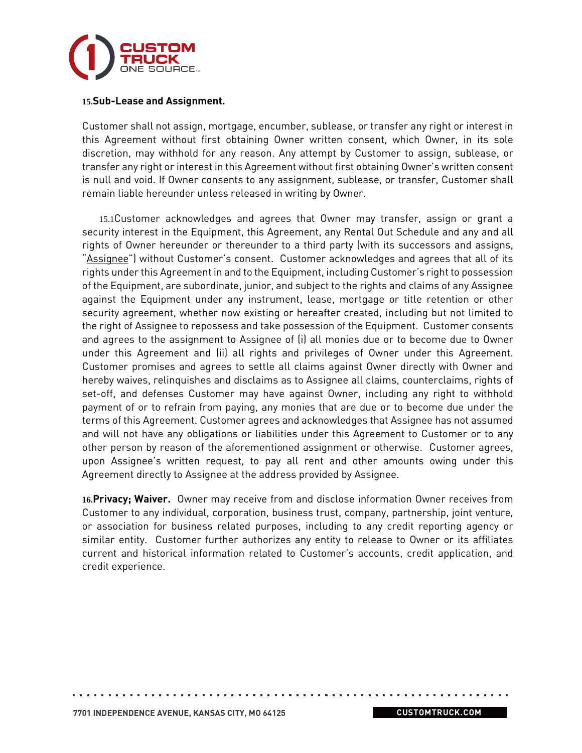

#### **15.Sub-Lease and Assignment.**

Customer shall not assign, mortgage, encumber, sublease, or transfer any right or interest in this Agreement without first obtaining Owner written consent, which Owner, in its sole discretion, may withhold for any reason. Any attempt by Customer to assign, sublease, or transfer any right or interest in this Agreement without first obtaining Owner's written consent is null and void. If Owner consents to any assignment, sublease, or transfer, Customer shall remain liable hereunder unless released in writing by Owner.

15.1Customer acknowledges and agrees that Owner may transfer, assign or grant a security interest in the Equipment, this Agreement, any Rental Out Schedule and any and all rights of Owner hereunder or thereunder to a third party (with its successors and assigns, "Assignee") without Customer's consent. Customer acknowledges and agrees that all of its rights under this Agreement in and to the Equipment, including Customer's right to possession of the Equipment, are subordinate, junior, and subject to the rights and claims of any Assignee against the Equipment under any instrument, lease, mortgage or title retention or other security agreement, whether now existing or hereafter created, including but not limited to the right of Assignee to repossess and take possession of the Equipment. Customer consents and agrees to the assignment to Assignee of (i) all monies due or to become due to Owner under this Agreement and (ii) all rights and privileges of Owner under this Agreement. Customer promises and agrees to settle all claims against Owner directly with Owner and hereby waives, relinquishes and disclaims as to Assignee all claims, counterclaims, rights of set-off, and defenses Customer may have against Owner, including any right to withhold payment of or to refrain from paying, any monies that are due or to become due under the terms of this Agreement. Customer agrees and acknowledges that Assignee has not assumed and will not have any obligations or liabilities under this Agreement to Customer or to any other person by reason of the aforementioned assignment or otherwise. Customer agrees, upon Assignee's written request, to pay all rent and other amounts owing under this Agreement directly to Assignee at the address provided by Assignee.

**16.Privacy; Waiver.** Owner may receive from and disclose information Owner receives from Customer to any individual, corporation, business trust, company, partnership, joint venture, or association for business related purposes, including to any credit reporting agency or similar entity. Customer further authorizes any entity to release to Owner or its affiliates current and historical information related to Customer's accounts, credit application, and credit experience.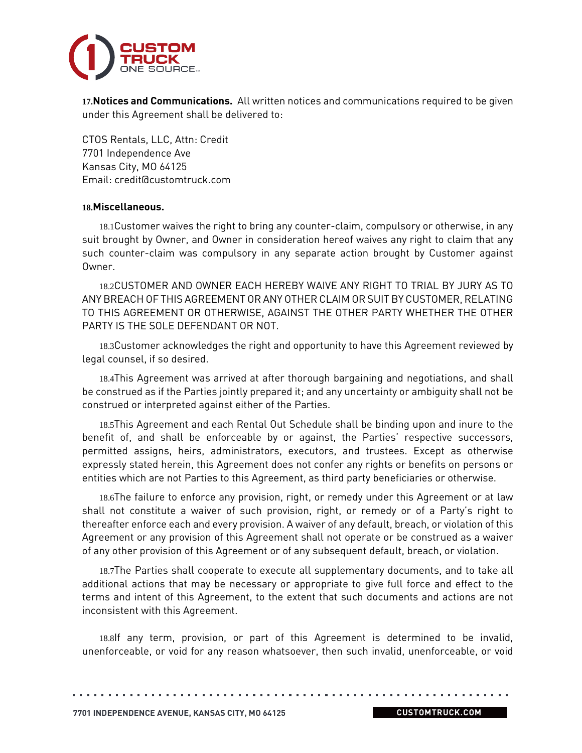

**17.Notices and Communications.** All written notices and communications required to be given under this Agreement shall be delivered to:

CTOS Rentals, LLC, Attn: Credit 7701 Independence Ave Kansas City, MO 64125 Email: credit@customtruck.com

#### **18.Miscellaneous.**

18.1Customer waives the right to bring any counter-claim, compulsory or otherwise, in any suit brought by Owner, and Owner in consideration hereof waives any right to claim that any such counter-claim was compulsory in any separate action brought by Customer against Owner.

18.2CUSTOMER AND OWNER EACH HEREBY WAIVE ANY RIGHT TO TRIAL BY JURY AS TO ANY BREACH OF THIS AGREEMENT OR ANY OTHER CLAIM OR SUIT BY CUSTOMER, RELATING TO THIS AGREEMENT OR OTHERWISE, AGAINST THE OTHER PARTY WHETHER THE OTHER PARTY IS THE SOLE DEFENDANT OR NOT.

18.3Customer acknowledges the right and opportunity to have this Agreement reviewed by legal counsel, if so desired.

18.4This Agreement was arrived at after thorough bargaining and negotiations, and shall be construed as if the Parties jointly prepared it; and any uncertainty or ambiguity shall not be construed or interpreted against either of the Parties.

18.5This Agreement and each Rental Out Schedule shall be binding upon and inure to the benefit of, and shall be enforceable by or against, the Parties' respective successors, permitted assigns, heirs, administrators, executors, and trustees. Except as otherwise expressly stated herein, this Agreement does not confer any rights or benefits on persons or entities which are not Parties to this Agreement, as third party beneficiaries or otherwise.

18.6The failure to enforce any provision, right, or remedy under this Agreement or at law shall not constitute a waiver of such provision, right, or remedy or of a Party's right to thereafter enforce each and every provision. A waiver of any default, breach, or violation of this Agreement or any provision of this Agreement shall not operate or be construed as a waiver of any other provision of this Agreement or of any subsequent default, breach, or violation.

18.7The Parties shall cooperate to execute all supplementary documents, and to take all additional actions that may be necessary or appropriate to give full force and effect to the terms and intent of this Agreement, to the extent that such documents and actions are not inconsistent with this Agreement.

18.8If any term, provision, or part of this Agreement is determined to be invalid, unenforceable, or void for any reason whatsoever, then such invalid, unenforceable, or void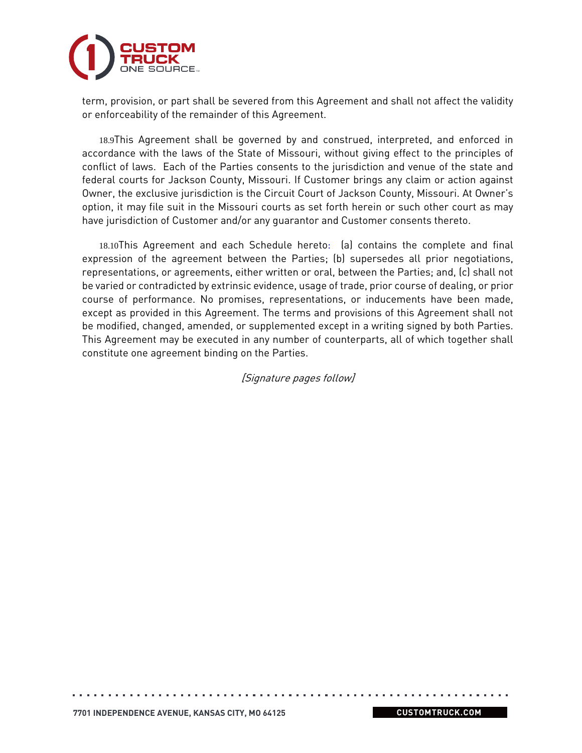

term, provision, or part shall be severed from this Agreement and shall not affect the validity or enforceability of the remainder of this Agreement.

18.9This Agreement shall be governed by and construed, interpreted, and enforced in accordance with the laws of the State of Missouri, without giving effect to the principles of conflict of laws. Each of the Parties consents to the jurisdiction and venue of the state and federal courts for Jackson County, Missouri. If Customer brings any claim or action against Owner, the exclusive jurisdiction is the Circuit Court of Jackson County, Missouri. At Owner's option, it may file suit in the Missouri courts as set forth herein or such other court as may have jurisdiction of Customer and/or any guarantor and Customer consents thereto.

18.10This Agreement and each Schedule hereto: (a) contains the complete and final expression of the agreement between the Parties; (b) supersedes all prior negotiations, representations, or agreements, either written or oral, between the Parties; and, (c) shall not be varied or contradicted by extrinsic evidence, usage of trade, prior course of dealing, or prior course of performance. No promises, representations, or inducements have been made, except as provided in this Agreement. The terms and provisions of this Agreement shall not be modified, changed, amended, or supplemented except in a writing signed by both Parties. This Agreement may be executed in any number of counterparts, all of which together shall constitute one agreement binding on the Parties.

[Signature pages follow]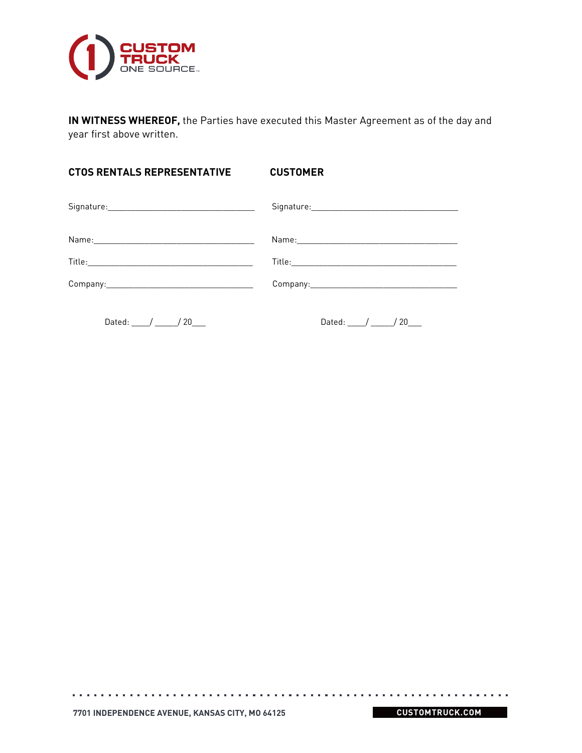

**IN WITNESS WHEREOF,** the Parties have executed this Master Agreement as of the day and year first above written.

| <b>CTOS RENTALS REPRESENTATIVE</b> | <b>CUSTOMER</b> |
|------------------------------------|-----------------|
|                                    |                 |
|                                    |                 |
|                                    |                 |
|                                    |                 |
| $P_1$ $I_2$ $I_3$                  | $P + 1$ / 100   |

 $\alpha$  , and  $\alpha$  , and  $\alpha$  , and  $\alpha$  , and  $\alpha$ 

 $\alpha$  ,  $\alpha$  ,  $\alpha$  ,  $\alpha$  ,  $\alpha$  ,  $\alpha$ 

Dated: \_\_\_\_/ \_\_\_\_\_/ 20\_\_\_\_ Dated: \_\_\_\_/ \_\_\_\_\_/ 20\_\_\_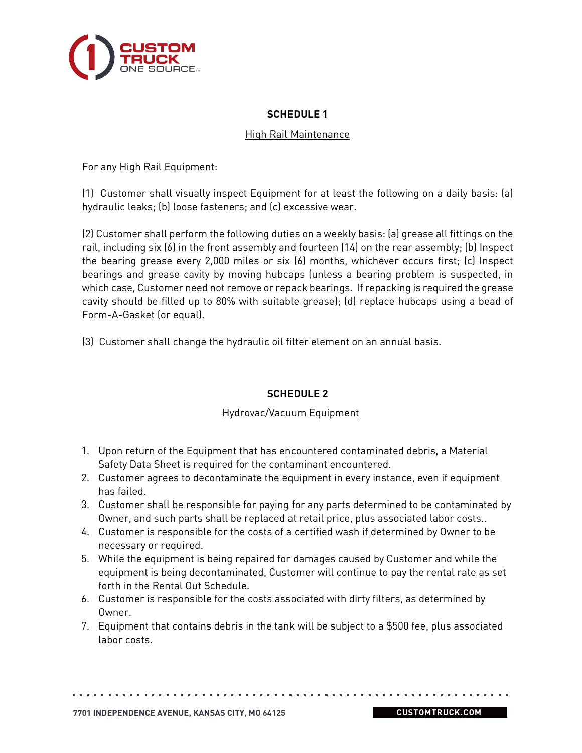

## **SCHEDULE 1**

### High Rail Maintenance

For any High Rail Equipment:

(1) Customer shall visually inspect Equipment for at least the following on a daily basis: (a) hydraulic leaks; (b) loose fasteners; and (c) excessive wear.

(2) Customer shall perform the following duties on a weekly basis: (a) grease all fittings on the rail, including six (6) in the front assembly and fourteen (14) on the rear assembly; (b) Inspect the bearing grease every 2,000 miles or six (6) months, whichever occurs first; (c) Inspect bearings and grease cavity by moving hubcaps (unless a bearing problem is suspected, in which case, Customer need not remove or repack bearings. If repacking is required the grease cavity should be filled up to 80% with suitable grease); (d) replace hubcaps using a bead of Form-A-Gasket (or equal).

(3) Customer shall change the hydraulic oil filter element on an annual basis.

## **SCHEDULE 2**

## Hydrovac/Vacuum Equipment

- 1. Upon return of the Equipment that has encountered contaminated debris, a Material Safety Data Sheet is required for the contaminant encountered.
- 2. Customer agrees to decontaminate the equipment in every instance, even if equipment has failed.
- 3. Customer shall be responsible for paying for any parts determined to be contaminated by Owner, and such parts shall be replaced at retail price, plus associated labor costs..
- 4. Customer is responsible for the costs of a certified wash if determined by Owner to be necessary or required.
- 5. While the equipment is being repaired for damages caused by Customer and while the equipment is being decontaminated, Customer will continue to pay the rental rate as set forth in the Rental Out Schedule.
- 6. Customer is responsible for the costs associated with dirty filters, as determined by Owner.
- 7. Equipment that contains debris in the tank will be subject to a \$500 fee, plus associated labor costs.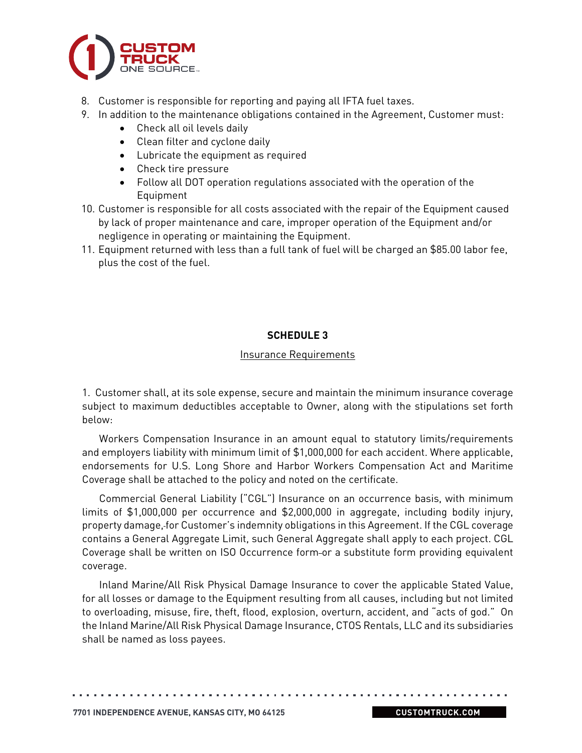

- 8. Customer is responsible for reporting and paying all IFTA fuel taxes.
- 9. In addition to the maintenance obligations contained in the Agreement, Customer must:
	- Check all oil levels daily
	- Clean filter and cyclone daily
	- Lubricate the equipment as required
	- Check tire pressure
	- Follow all DOT operation regulations associated with the operation of the Equipment
- 10. Customer is responsible for all costs associated with the repair of the Equipment caused by lack of proper maintenance and care, improper operation of the Equipment and/or negligence in operating or maintaining the Equipment.
- 11. Equipment returned with less than a full tank of fuel will be charged an \$85.00 labor fee, plus the cost of the fuel.

# **SCHEDULE 3**

### Insurance Requirements

1. Customer shall, at its sole expense, secure and maintain the minimum insurance coverage subject to maximum deductibles acceptable to Owner, along with the stipulations set forth below:

Workers Compensation Insurance in an amount equal to statutory limits/requirements and employers liability with minimum limit of \$1,000,000 for each accident. Where applicable, endorsements for U.S. Long Shore and Harbor Workers Compensation Act and Maritime Coverage shall be attached to the policy and noted on the certificate.

Commercial General Liability ("CGL") Insurance on an occurrence basis, with minimum limits of \$1,000,000 per occurrence and \$2,000,000 in aggregate, including bodily injury, property damage, for Customer's indemnity obligations in this Agreement. If the CGL coverage contains a General Aggregate Limit, such General Aggregate shall apply to each project. CGL Coverage shall be written on ISO Occurrence form-or a substitute form providing equivalent coverage.

Inland Marine/All Risk Physical Damage Insurance to cover the applicable Stated Value, for all losses or damage to the Equipment resulting from all causes, including but not limited to overloading, misuse, fire, theft, flood, explosion, overturn, accident, and "acts of god." On the Inland Marine/All Risk Physical Damage Insurance, CTOS Rentals, LLC and its subsidiaries shall be named as loss payees.